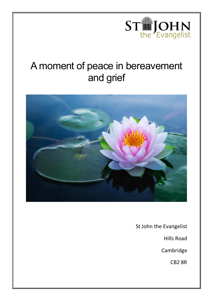

# A moment of peace in bereavement and grief



St John the Evangelist

Hills Road

Cambridge

CB2 8R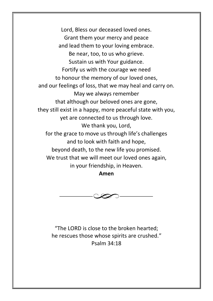Lord, Bless our deceased loved ones. Grant them your mercy and peace and lead them to your loving embrace. Be near, too, to us who grieve. Sustain us with Your guidance. Fortify us with the courage we need to honour the memory of our loved ones, and our feelings of loss, that we may heal and carry on. May we always remember that although our beloved ones are gone, they still exist in a happy, more peaceful state with you, yet are connected to us through love. We thank you, Lord, for the grace to move us through life's challenges and to look with faith and hope, beyond death, to the new life you promised. We trust that we will meet our loved ones again, in your friendship, in Heaven.

**Amen**



"The LORD is close to the broken hearted; he rescues those whose spirits are crushed." Psalm 34:18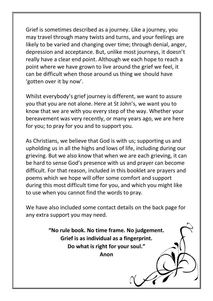Grief is sometimes described as a journey. Like a journey, you may travel through many twists and turns, and your feelings are likely to be varied and changing over time; through denial, anger, depression and acceptance. But, unlike most journeys, it doesn't really have a clear end point. Although we each hope to reach a point where we have grown to live around the grief we feel, it can be difficult when those around us thing we should have 'gotten over it by now'.

Whilst everybody's grief journey is different, we want to assure you that you are not alone. Here at St John's, we want you to know that we are with you every step of the way. Whether your bereavement was very recently, or many years ago, we are here for you; to pray for you and to support you.

As Christians, we believe that God is with us; supporting us and upholding us in all the highs and lows of life, including during our grieving. But we also know that when we are each grieving, it can be hard to sense God's presence with us and prayer can become difficult. For that reason, included in this booklet are prayers and poems which we hope will offer some comfort and support during this most difficult time for you, and which you might like to use when you cannot find the words to pray.

We have also included some contact details on the back page for any extra support you may need.

> **"No rule book. No time frame. No judgement. Grief is as individual as a fingerprint. Do what is right for your soul." Anon**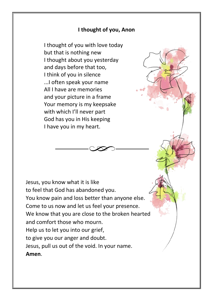#### **I thought of you, Anon**

I thought of you with love today but that is nothing new I thought about you yesterday and days before that too, I think of you in silence ...I often speak your name All I have are memories and your picture in a frame Your memory is my keepsake with which I'll never part God has you in His keeping I have you in my heart.



Jesus, you know what it is like to feel that God has abandoned you. You know pain and loss better than anyone else. Come to us now and let us feel your presence. We know that you are close to the broken hearted and comfort those who mourn. Help us to let you into our grief, to give you our anger and doubt. Jesus, pull us out of the void. In your name. **Amen**.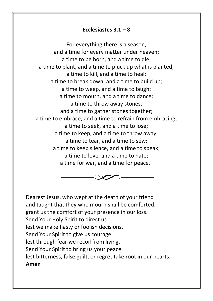## **Ecclesiastes 3.1 – 8**

For everything there is a season, and a time for every matter under heaven: a time to be born, and a time to die; a time to plant, and a time to pluck up what is planted; a time to kill, and a time to heal; a time to break down, and a time to build up; a time to weep, and a time to laugh; a time to mourn, and a time to dance; a time to throw away stones, and a time to gather stones together; a time to embrace, and a time to refrain from embracing; a time to seek, and a time to lose; a time to keep, and a time to throw away; a time to tear, and a time to sew; a time to keep silence, and a time to speak; a time to love, and a time to hate; a time for war, and a time for peace."



Dearest Jesus, who wept at the death of your friend and taught that they who mourn shall be comforted, grant us the comfort of your presence in our loss. Send Your Holy Spirit to direct us lest we make hasty or foolish decisions. Send Your Spirit to give us courage lest through fear we recoil from living. Send Your Spirit to bring us your peace lest bitterness, false guilt, or regret take root in our hearts. **Amen**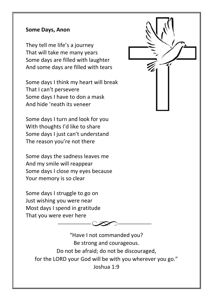## **Some Days, Anon**

They tell me life's a journey That will take me many years Some days are filled with laughter And some days are filled with tears

Some days I think my heart will break That I can't persevere Some days I have to don a mask And hide 'neath its veneer

Some days I turn and look for you With thoughts I'd like to share Some days I just can't understand The reason you're not there

Some days the sadness leaves me And my smile will reappear Some days I close my eyes because Your memory is so clear

Some days I struggle to go on Just wishing you were near Most days I spend in gratitude That you were ever here

"Have I not commanded you? Be strong and courageous. Do not be afraid; do not be discouraged, for the LORD your God will be with you wherever you go." Joshua 1:9

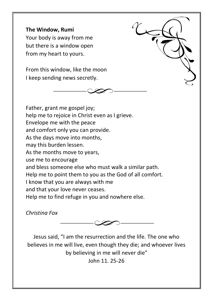**The Window, Rumi** Your body is away from me but there is a window open from my heart to yours.

From this window, like the moon I keep sending news secretly.



Father, grant me gospel joy; help me to rejoice in Christ even as I grieve. Envelope me with the peace and comfort only you can provide. As the days move into months, may this burden lessen. As the months move to years, use me to encourage and bless someone else who must walk a similar path. Help me to point them to you as the God of all comfort. I know that you are always with me and that your love never ceases. Help me to find refuge in you and nowhere else.

*Christina Fox*



Jesus said, "I am the resurrection and the life. The one who believes in me will live, even though they die; and whoever lives by believing in me will never die" John 11. 25-26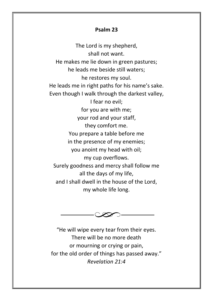#### **Psalm 23**

The Lord is my shepherd, shall not want. He makes me lie down in green pastures; he leads me beside still waters; he restores my soul. He leads me in right paths for his name's sake. Even though I walk through the darkest valley, I fear no evil; for you are with me; your rod and your staff, they comfort me. You prepare a table before me in the presence of my enemies; you anoint my head with oil; my cup overflows. Surely goodness and mercy shall follow me all the days of my life, and I shall dwell in the house of the Lord, my whole life long.



"He will wipe every tear from their eyes. There will be no more death or mourning or crying or pain, for the old order of things has passed away." *Revelation 21:4*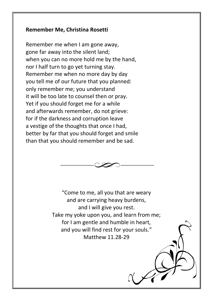## **Remember Me, Christina Rosetti**

Remember me when I am gone away, gone far away into the silent land; when you can no more hold me by the hand, nor I half turn to go yet turning stay. Remember me when no more day by day you tell me of our future that you planned: only remember me; you understand it will be too late to counsel then or pray. Yet if you should forget me for a while and afterwards remember, do not grieve: for if the darkness and corruption leave a vestige of the thoughts that once I had, better by far that you should forget and smile than that you should remember and be sad.



"Come to me, all you that are weary and are carrying heavy burdens, and I will give you rest. Take my yoke upon you, and learn from me; for I am gentle and humble in heart, and you will find rest for your souls." Matthew 11.28-29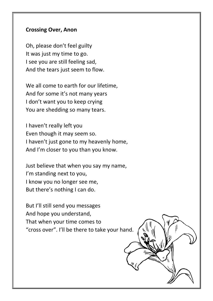## **Crossing Over, Anon**

Oh, please don't feel guilty It was just my time to go. I see you are still feeling sad, And the tears just seem to flow.

We all come to earth for our lifetime, And for some it's not many years I don't want you to keep crying You are shedding so many tears.

I haven't really left you Even though it may seem so. I haven't just gone to my heavenly home, And I'm closer to you than you know.

Just believe that when you say my name, I'm standing next to you, I know you no longer see me, But there's nothing I can do.

But I'll still send you messages And hope you understand, That when your time comes to "cross over". I'll be there to take your hand.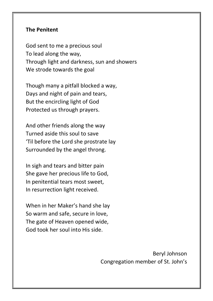## **The Penitent**

God sent to me a precious soul To lead along the way, Through light and darkness, sun and showers We strode towards the goal

Though many a pitfall blocked a way, Days and night of pain and tears, But the encircling light of God Protected us through prayers.

And other friends along the way Turned aside this soul to save 'Til before the Lord she prostrate lay Surrounded by the angel throng.

In sigh and tears and bitter pain She gave her precious life to God, In penitential tears most sweet, In resurrection light received.

When in her Maker's hand she lay So warm and safe, secure in love, The gate of Heaven opened wide, God took her soul into His side.

> Beryl Johnson Congregation member of St. John's